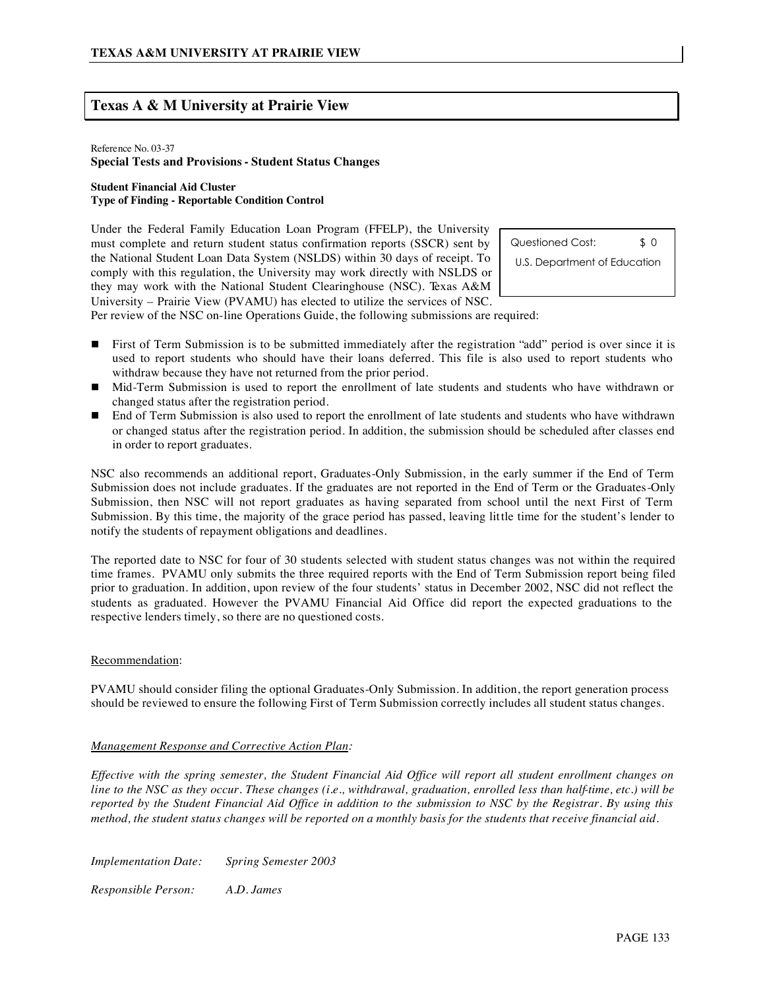# **Texas A & M University at Prairie View**

#### Reference No. 03-37 **Special Tests and Provisions - Student Status Changes**

#### **Student Financial Aid Cluster Type of Finding - Reportable Condition Control**

Under the Federal Family Education Loan Program (FFELP), the University must complete and return student status confirmation reports (SSCR) sent by the National Student Loan Data System (NSLDS) within 30 days of receipt. To comply with this regulation, the University may work directly with NSLDS or they may work with the National Student Clearinghouse (NSC). Texas A&M University – Prairie View (PVAMU) has elected to utilize the services of NSC.

Questioned Cost: \$ 0 U.S. Department of Education

Per review of the NSC on-line Operations Guide, the following submissions are required:

- **First of Term Submission is to be submitted immediately after the registration "add" period is over since it is** used to report students who should have their loans deferred. This file is also used to report students who withdraw because they have not returned from the prior period.
- Mid-Term Submission is used to report the enrollment of late students and students who have withdrawn or changed status after the registration period.
- End of Term Submission is also used to report the enrollment of late students and students who have withdrawn or changed status after the registration period. In addition, the submission should be scheduled after classes end in order to report graduates.

NSC also recommends an additional report, Graduates-Only Submission, in the early summer if the End of Term Submission does not include graduates. If the graduates are not reported in the End of Term or the Graduates-Only Submission, then NSC will not report graduates as having separated from school until the next First of Term Submission. By this time, the majority of the grace period has passed, leaving little time for the student's lender to notify the students of repayment obligations and deadlines.

The reported date to NSC for four of 30 students selected with student status changes was not within the required time frames. PVAMU only submits the three required reports with the End of Term Submission report being filed prior to graduation. In addition, upon review of the four students' status in December 2002, NSC did not reflect the students as graduated. However the PVAMU Financial Aid Office did report the expected graduations to the respective lenders timely, so there are no questioned costs.

#### Recommendation:

PVAMU should consider filing the optional Graduates-Only Submission. In addition, the report generation process should be reviewed to ensure the following First of Term Submission correctly includes all student status changes.

#### *Management Response and Corrective Action Plan:*

*Effective with the spring semester, the Student Financial Aid Office will report all student enrollment changes on line to the NSC as they occur. These changes (i.e., withdrawal, graduation, enrolled less than half-time, etc.) will be reported by the Student Financial Aid Office in addition to the submission to NSC by the Registrar. By using this method, the student status changes will be reported on a monthly basis for the students that receive financial aid.*

*Implementation Date: Spring Semester 2003*

*Responsible Person: A.D. James*